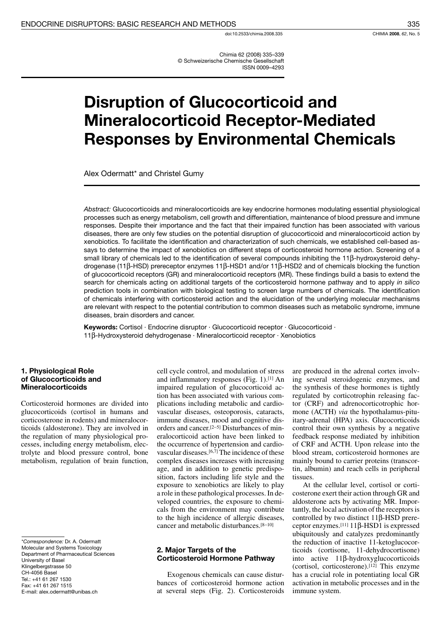doi:10.2533/chimia.2008.335

Chimia 62 (2008) 335-339 © Schweizerische Chemische Gesellschaft **ISSN 0009-4293** 

# **Disruption of Glucocorticoid and Mineralocorticoid Receptor-Mediated Responses by Environmental Chemicals**

Alex Odermatt\* and Christel Gumy

Abstract: Glucocorticoids and mineralocorticoids are key endocrine hormones modulating essential physiological processes such as energy metabolism, cell growth and differentiation, maintenance of blood pressure and immune responses. Despite their importance and the fact that their impaired function has been associated with various diseases, there are only few studies on the potential disruption of glucocorticoid and mineralocorticoid action by xenobiotics. To facilitate the identification and characterization of such chemicals, we established cell-based assays to determine the impact of xenobiotics on different steps of corticosteroid hormone action. Screening of a small library of chemicals led to the identification of several compounds inhibiting the 11β-hydroxysteroid dehydrogenase (11 $\beta$ -HSD) prereceptor enzymes 11 $\beta$ -HSD1 and/or 11 $\beta$ -HSD2 and of chemicals blocking the function of glucocorticoid receptors (GR) and mineralocorticoid receptors (MR). These findings build a basis to extend the search for chemicals acting on additional targets of the corticosteroid hormone pathway and to apply in silico prediction tools in combination with biological testing to screen large numbers of chemicals. The identification of chemicals interfering with corticosteroid action and the elucidation of the underlying molecular mechanisms are relevant with respect to the potential contribution to common diseases such as metabolic syndrome, immune diseases, brain disorders and cancer.

Keywords: Cortisol · Endocrine disruptor · Glucocorticoid receptor · Glucocorticoid · 11β-Hydroxysteroid dehydrogenase · Mineralocorticoid receptor · Xenobiotics

## 1. Physiological Role of Glucocorticoids and **Mineralocorticoids**

Corticosteroid hormones are divided into glucocorticoids (cortisol in humans and corticosterone in rodents) and mineralocorticoids (aldosterone). They are involved in the regulation of many physiological processes, including energy metabolism, electrolyte and blood pressure control, bone metabolism, regulation of brain function,

\*Correspondence: Dr. A. Odermatt Molecular and Systems Toxicology Department of Pharmaceutical Sciences University of Basel Klingelbergstrasse 50 CH-4056 Basel Tel.: +41 61 267 1530 Fax: +41 61 267 1515 E-mail: alex.odermatt@unibas.ch

cell cycle control, and modulation of stress and inflammatory responses (Fig. 1).<sup>[1]</sup> An impaired regulation of glucocorticoid action has been associated with various complications including metabolic and cardiovascular diseases, osteoporosis, cataracts, immune diseases, mood and cognitive disorders and cancer.<sup>[2-5]</sup> Disturbances of mineralocorticoid action have been linked to the occurrence of hypertension and cardiovascular diseases.<sup>[6,7]</sup> The incidence of these complex diseases increases with increasing age, and in addition to genetic predisposition, factors including life style and the exposure to xenobiotics are likely to play a role in these pathological processes. In developed countries, the exposure to chemicals from the environment may contribute to the high incidence of allergic diseases, cancer and metabolic disturbances.<sup>[8-10]</sup>

## 2. Major Targets of the **Corticosteroid Hormone Pathway**

Exogenous chemicals can cause disturbances of corticosteroid hormone action at several steps (Fig. 2). Corticosteroids

are produced in the adrenal cortex involving several steroidogenic enzymes, and the synthesis of these hormones is tightly regulated by corticotrophin releasing factor (CRF) and adrenocorticotrophic hormone (ACTH) via the hypothalamus-pituitary-adrenal (HPA) axis. Glucocorticoids control their own synthesis by a negative feedback response mediated by inhibition of CRF and ACTH. Upon release into the blood stream, corticosteroid hormones are mainly bound to carrier proteins (transcortin, albumin) and reach cells in peripheral tissues.

At the cellular level, cortisol or corticosterone exert their action through GR and aldosterone acts by activating MR. Importantly, the local activation of the receptors is controlled by two distinct  $11\beta$ -HSD prereceptor enzymes. [11]  $11\beta$ -HSD1 is expressed ubiquitously and catalyzes predominantly the reduction of inactive 11-ketoglucocorticoids (cortisone, 11-dehydrocortisone) into active  $11\beta$ -hydroxyglucocorticoids (cortisol, corticosterone).<sup>[12]</sup> This enzyme has a crucial role in potentiating local GR activation in metabolic processes and in the immune system.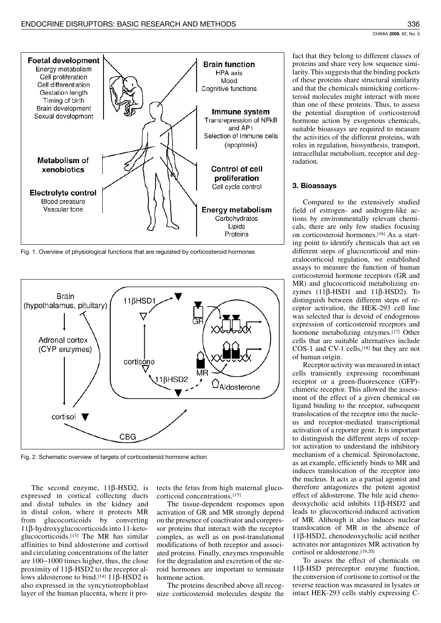

Fig. 1. Overview of physiological functions that are regulated by corticosteroid hormones



Fig. 2. Schematic overview of targets of corticosteroid hormone action

The second enzyme,  $11\beta$ -HSD2, is expressed in cortical collecting ducts and distal tubules in the kidney and in distal colon, where it protects MR from glucocorticoids by converting  $11\beta$ -hydroxyglucocorticoids into 11-ketoglucocorticoids.<sup>[13]</sup> The MR has similar affinities to bind aldosterone and cortisol and circulating concentrations of the latter are  $100-1000$  times higher, thus, the close proximity of  $11\beta$ -HSD2 to the receptor allows aldosterone to bind.  $[14]$  11 $\beta$ -HSD2 is also expressed in the syncytiotrophoblast layer of the human placenta, where it protects the fetus from high maternal glucocorticoid concentrations.[15]

The tissue-dependent responses upon activation of GR and MR strongly depend on the presence of coactivator and corepressor proteins that interact with the receptor complex, as well as on post-translational modifications of both receptor and associated proteins. Finally, enzymes responsible for the degradation and excretion of the steroid hormones are important to terminate hormone action.

The proteins described above all recognize corticosteroid molecules despite the fact that they belong to different classes of proteins and share very low sequence similarity. This suggests that the binding pockets of these proteins share structural similarity and that the chemicals mimicking corticosteroid molecules might interact with more than one of these proteins. Thus, to assess the potential disruption of corticosteroid hormone action by exogenous chemicals, suitable bioassays are required to measure the activities of the different proteins, with roles in regulation, biosynthesis, transport, intracellular metabolism, receptor and degradation.

#### 3. Bioassays

Compared to the extensively studied field of estrogen- and androgen-like actions by environmentally relevant chemicals, there are only few studies focusing on corticosteroid hormones.<sup>[16]</sup> As a starting point to identify chemicals that act on different steps of glucocorticoid and mineralocorticoid regulation, we established assays to measure the function of human corticosteroid hormone receptors (GR and MR) and glucocorticoid metabolizing enzymes  $(11\beta$ -HSD1 and  $11\beta$ -HSD2). To distinguish between different steps of receptor activation, the HEK-293 cell line was selected that is devoid of endogenous expression of corticosteroid receptors and hormone metabolizing enzymes.[17] Other cells that are suitable alternatives include COS-1 and CV-1 cells, $[18]$  but they are not of human origin.

Receptor activity was measured in intact cells transiently expressing recombinant receptor or a green-fluorescence (GFP)chimeric receptor. This allowed the assessment of the effect of a given chemical on ligand binding to the receptor, subsequent translocation of the receptor into the nucleus and receptor-mediated transcriptional activation of a reporter gene. It is important to distinguish the different steps of receptor activation to understand the inhibitory mechanism of a chemical. Spironolactone, as an example, efficiently binds to MR and induces translocation of the receptor into the nucleus. It acts as a partial agonist and therefore antagonizes the potent agonist effect of aldosterone. The bile acid chenodeoxycholic acid inhibits  $11\beta$ -HSD2 and leads to glucocorticoid-induced activation of MR. Although it also induces nuclear translocation of MR in the absence of  $11\beta$ -HSD2, chenodeoxycholic acid neither activates nor antagonizes MR activation by cortisol or aldosterone.[19,20]

To assess the effect of chemicals on  $11\beta$ -HSD prereceptor enzyme function, the conversion of cortisone to cortisol or the reverse reaction was measured in lysates or intact HEK-293 cells stably expressing C-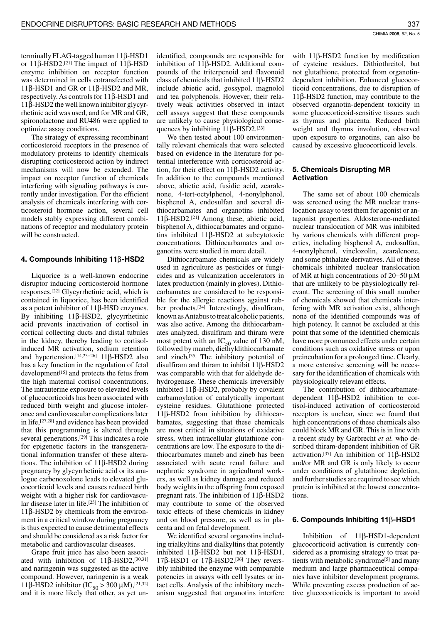terminally FLAG-tagged human  $11\beta$ -HSD1 or 11 $\beta$ -HSD2.<sup>[21]</sup> The impact of 11 $\beta$ -HSD enzyme inhibition on receptor function was determined in cells cotransfected with 11β-HSD1 and GR or 11β-HSD2 and MR, respectively. As controls for  $11\beta$ -HSD1 and  $11\beta$ -HSD2 the well known inhibitor glycyrrhetinic acid was used, and for MR and GR, spironolactone and RU486 were applied to optimize assay conditions.

The strategy of expressing recombinant corticosteroid receptors in the presence of modulatory proteins to identify chemicals disrupting corticosteroid action by indirect mechanisms will now be extended. The impact on receptor function of chemicals interfering with signaling pathways is currently under investigation. For the efficient analysis of chemicals interfering with corticosteroid hormone action, several cell models stably expressing different combinations of receptor and modulatory protein will be constructed.

#### 4. Compounds Inhibiting 11<sup>3</sup>-HSD2

Liquorice is a well-known endocrine disruptor inducing corticosteroid hormone responses.<sup>[22]</sup> Glycyrrhetinic acid, which is contained in liquorice, has been identified as a potent inhibitor of  $11\beta$ -HSD enzymes. By inhibiting  $11\beta$ -HSD2, glycyrrhetinic acid prevents inactivation of cortisol in cortical collecting ducts and distal tubules in the kidney, thereby leading to cortisolinduced MR activation, sodium retention and hypertension.  $[14,23-26]$  11 $\beta$ -HSD2 also has a key function in the regulation of fetal development<sup>[15]</sup> and protects the fetus from the high maternal cortisol concentrations. The intrauterine exposure to elevated levels of glucocorticoids has been associated with reduced birth weight and glucose intolerance and cardiovascular complications later in life, [27,28] and evidence has been provided that this programming is altered through several generations.<sup>[29]</sup> This indicates a role for epigenetic factors in the transgenerational information transfer of these alterations. The inhibition of  $11\beta$ -HSD2 during pregnancy by glycyrrhetinic acid or its analogue carbenoxolone leads to elevated glucocorticoid levels and causes reduced birth weight with a higher risk for cardiovascular disease later in life.<sup>[25]</sup> The inhibition of  $11\beta$ -HSD2 by chemicals from the environment in a critical window during pregnancy is thus expected to cause detrimental effects and should be considered as a risk factor for metabolic and cardiovascular diseases.

Grape fruit juice has also been associated with inhibition of 11ß-HSD2, [30,31] and naringenin was suggested as the active compound. However, naringenin is a weak 11β-HSD2 inhibitor (IC<sub>50</sub> > 300 μM),<sup>[21,32]</sup> and it is more likely that other, as yet unidentified, compounds are responsible for inhibition of  $11\beta$ -HSD2. Additional compounds of the triterpenoid and flavonoid class of chemicals that inhibited  $11\beta$ -HSD2 include abietic acid, gossypol, magnolol and tea polyphenols. However, their relatively weak activities observed in intact cell assays suggest that these compounds are unlikely to cause physiological consequences by inhibiting 11ß-HSD2.[33]

We then tested about 100 environmentally relevant chemicals that were selected based on evidence in the literature for potential interference with corticosteroid action, for their effect on  $11\beta$ -HSD2 activity. In addition to the compounds mentioned above, abietic acid, fusidic acid, zearalenone, 4-tert-octylphenol, 4-nonylphenol, bisphenol A, endosulfan and several dithiocarbamates and organotins inhibited  $11\beta$ -HSD2.<sup>[21]</sup> Among these, abietic acid, bisphenol A, dithiocarbamates and organotins inhibited  $11\beta$ -HSD2 at subcytotoxic concentrations. Dithiocarbamates and organotins were studied in more detail.

Dithiocarbamate chemicals are widely used in agriculture as pesticides or fungicides and as vulcanization accelerators in latex production (mainly in gloves). Dithiocarbamates are considered to be responsible for the allergic reactions against rubber products.<sup>[34]</sup> Interestingly, disulfiram, known as Antabus to treat alcoholic patients, was also active. Among the dithiocarbamates analyzed, disulfiram and thiram were most potent with an  $IC_{50}$  value of 130 nM, followed by maneb, diethyldithiocarbamate and zineb.[35] The inhibitory potential of disulfiram and thiram to inhibit  $11\beta$ -HSD2 was comparable with that for aldehyde dehydrogenase. These chemicals irreversibly inhibited  $11\beta$ -HSD2, probably by covalent carbamoylation of catalytically important cysteine residues. Glutathione protected 11β-HSD2 from inhibition by dithiocarbamates, suggesting that these chemicals are most critical in situations of oxidative stress, when intracellular glutathione concentrations are low. The exposure to the dithiocarbamates maneb and zineb has been associated with acute renal failure and nephrotic syndrome in agricultural workers, as well as kidney damage and reduced body weights in the offspring from exposed pregnant rats. The inhibition of  $11\beta$ -HSD2 may contribute to some of the observed toxic effects of these chemicals in kidney and on blood pressure, as well as in placenta and on fetal development.

We identified several organotins including trialkyltins and dialkyltins that potently inhibited  $11\beta$ -HSD2 but not  $11\beta$ -HSD1,  $17\beta$ -HSD1 or  $17\beta$ -HSD2.<sup>[36]</sup> They reversibly inhibited the enzyme with comparable potencies in assays with cell lysates or intact cells. Analysis of the inhibitory mechanism suggested that organotins interfere with  $11\beta$ -HSD2 function by modification of cysteine residues. Dithiothreitol, but not glutathione, protected from organotindependent inhibition. Enhanced glucocorticoid concentrations, due to disruption of  $11\beta$ -HSD2 function, may contribute to the observed organotin-dependent toxicity in some glucocorticoid-sensitive tissues such as thymus and placenta. Reduced birth weight and thymus involution, observed upon exposure to organotins, can also be caused by excessive glucocorticoid levels.

#### 5. Chemicals Disrupting MR **Activation**

The same set of about 100 chemicals was screened using the MR nuclear translocation assay to test them for agonist or antagonist properties. Aldosterone-mediated nuclear translocation of MR was inhibited by various chemicals with different properties, including bisphenol A, endosulfan, 4-nonylphenol, vinclozolin, zearalenone, and some phthalate derivatives. All of these chemicals inhibited nuclear translocation of MR at high concentrations of  $20-50 \mu M$ that are unlikely to be physiologically relevant. The screening of this small number of chemicals showed that chemicals interfering with MR activation exist, although none of the identified compounds was of high potency. It cannot be excluded at this point that some of the identified chemicals have more pronounced effects under certain conditions such as oxidative stress or upon preincubation for a prolonged time. Clearly, a more extensive screening will be necessary for the identification of chemicals with physiologically relevant effects.

The contribution of dithiocarbamatedependent  $11\beta$ -HSD2 inhibition to cortisol-induced activation of corticosteroid receptors is unclear, since we found that high concentrations of these chemicals also could block MR and GR. This is in line with a recent study by Garbrecht et al. who described thiram-dependent inhibition of GR activation.<sup>[37]</sup> An inhibition of  $11\beta$ -HSD2 and/or MR and GR is only likely to occur under conditions of glutathione depletion, and further studies are required to see which protein is inhibited at the lowest concentrations.

# 6. Compounds Inhibiting 11ß-HSD1

Inhibition of  $11\beta$ -HSD1-dependent glucocorticoid activation is currently considered as a promising strategy to treat patients with metabolic syndrome<sup>[5]</sup> and many medium and large pharmaceutical companies have inhibitor development programs. While preventing excess production of active glucocorticoids is important to avoid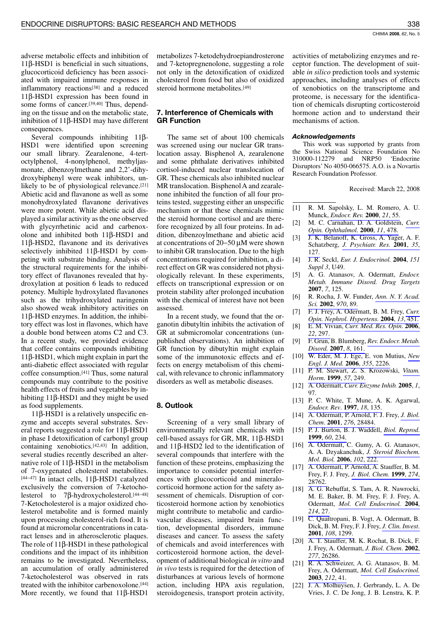adverse metabolic effects and inhibition of  $11\beta$ -HSD1 is beneficial in such situations, glucocorticoid deficiency has been associated with impaired immune responses in inflammatory reactions<sup>[38]</sup> and a reduced  $11\beta$ -HSD1 expression has been found in some forms of cancer.[39,40] Thus, depending on the tissue and on the metabolic state, inhibition of  $11\beta$ -HSD1 may have different consequences.

Several compounds inhibiting  $11\beta$ -HSD1 were identified upon screening our small library. Zearalenone, 4-tertoctylphenol, 4-nonylphenol, methyljasmonate, dibenzoylmethane and 2,2'-dihydroxybiphenyl were weak inhibitors, unlikely to be of physiological relevance.<sup>[21]</sup> Abietic acid and flavanone as well as some monohydroxylated flavanone derivatives were more potent. While abietic acid displayed a similar activity as the one observed with glycyrrhetinic acid and carbenoxolone and inhibited both 11β-HSD1 and  $11\beta$ -HSD2, flavanone and its derivatives selectively inhibited  $11\beta$ -HSD1 by competing with substrate binding. Analysis of the structural requirements for the inhibitory effect of flavanones revealed that hydroxylation at position 6 leads to reduced potency. Multiple hydroxylated flavanones such as the trihydroxylated naringenin also showed weak inhibitory activities on  $11\beta$ -HSD enzymes. In addition, the inhibitory effect was lost in flavones, which have a double bond between atoms C2 and C3. In a recent study, we provided evidence that coffee contains compounds inhibiting  $11\beta$ -HSD1, which might explain in part the anti-diabetic effect associated with regular coffee consumption.<sup>[41]</sup> Thus, some natural compounds may contribute to the positive health effects of fruits and vegetables by inhibiting  $11\beta$ -HSD1 and they might be used as food supplements.

 $11\beta$ -HSD1 is a relatively unspecific enzyme and accepts several substrates. Several reports suggested a role for  $11\beta$ -HSD1 in phase I detoxification of carbonyl group containing xenobiotics.<sup>[42,43]</sup> In addition, several studies recently described an alternative role of  $11\beta$ -HSD1 in the metabolism of 7-oxygenated cholesterol metabolites. <sup>[44-47]</sup> In intact cells, 11β-HSD1 catalyzed exclusively the conversion of 7-ketocholesterol to  $7\beta$ -hydroxycholesterol.<sup>[44-48]</sup> 7-Ketocholesterol is a major oxidized cholesterol metabolite and is formed mainly upon processing cholesterol-rich food. It is found at micromolar concentrations in cataract lenses and in atherosclerotic plaques. The role of  $11\beta$ -HSD1 in these pathological conditions and the impact of its inhibition remains to be investigated. Nevertheless, an accumulation of orally administered 7-ketocholesterol was observed in rats treated with the inhibitor carbenoxolone.<sup>[44]</sup> More recently, we found that  $11\beta$ -HSD1

metabolizes 7-ketodehydroepiandrosterone and 7-ketopregnenolone, suggesting a role not only in the detoxification of oxidized cholesterol from food but also of oxidized steroid hormone metabolites.<sup>[49]</sup>

### 7. Interference of Chemicals with **GR Function**

The same set of about 100 chemicals was screened using our nuclear GR translocation assay. Bisphenol A, zearalenone and some phthalate derivatives inhibited cortisol-induced nuclear translocation of GR. These chemicals also inhibited nuclear MR translocation. Bisphenol A and zearalenone inhibited the function of all four proteins tested, suggesting either an unspecific mechanism or that these chemicals mimic the steroid hormone cortisol and are therefore recognized by all four proteins. In addition, dibenzoylmethane and abietic acid at concentrations of  $20-50 \mu M$  were shown to inhibit GR translocation. Due to the high concentrations required for inhibition, a direct effect on GR was considered not physiologically relevant. In these experiments, effects on transcriptional expression or on protein stability after prolonged incubation with the chemical of interest have not been assessed.

In a recent study, we found that the organotin dibutyltin inhibits the activation of GR at submicromolar concentrations (unpublished observations). An inhibition of GR function by dibutyltin might explain some of the immunotoxic effects and effects on energy metabolism of this chemical, with relevance to chronic inflammatory disorders as well as metabolic diseases.

#### 8. Outlook

Screening of a very small library of environmentally relevant chemicals with cell-based assays for GR, MR, 11β-HSD1 and  $11\beta$ -HSD2 led to the identification of several compounds that interfere with the function of these proteins, emphasizing the importance to consider potential interferences with glucocorticoid and mineralocorticoid hormone action for the safety assessment of chemicals. Disruption of corticosteroid hormone action by xenobiotics might contribute to metabolic and cardiovascular diseases, impaired brain function, developmental disorders, immune diseases and cancer. To assess the safety of chemicals and avoid interferences with corticosteroid hormone action, the development of additional biological in vitro and in vivo tests is required for the detection of disturbances at various levels of hormone action, including HPA axis regulation, steroidogenesis, transport protein activity,

activities of metabolizing enzymes and receptor function. The development of suitable in silico prediction tools and systemic approaches, including analyses of effects of xenobiotics on the transcriptome and proteome, is necessary for the identification of chemicals disrupting corticosteroid hormone action and to understand their mechanisms of action.

#### **Acknowledgements**

This work was supported by grants from the Swiss National Science Foundation No 310000-112279 and NRP50 'Endocrine Disruptors' No 4050-066575. A.O. is a Novartis Research Foundation Professor.

Received: March 22, 2008

- R. M. Sapolsky, L. M. Romero, A. U.  $[1]$ Munck, *Endocr. Rev.* 2000, 21, 55.
- M. C. Carnahan, D. A. Goldstein, Curr.  $[2]$ Opin. Ophthalmol. 2000, 11, 478.
- $[3]$ J. K. Belanoff, K. Gross, A. Yager, A. F. Schatzberg, J. Psychiatr. Res. 2001, 35, 127.
- $[4]$ J. R. Seckl, Eur. J. Endocrinol. 2004, 151 Suppl 3, U49.
- A. G. Atanasov, A. Odermatt, Endocr.  $\left[5\right]$ Metab. Immune Disord. Drug Targets 2007, 7, 125.
- $[6]$ R. Rocha, J. W. Funder, Ann. N. Y. Acad. Sci. 2002, 970, 89.
- F. J. Frey, A. Odermatt, B. M. Frey, Curr.  $[7]$ Opin. Nephrol. Hypertens. 2004, 13, 451.
- $[8]$ E. M. Vivian, Curr. Med. Res. Opin. 2006, 22, 297.
- $[9]$ F. Grun, B. Blumberg, Rev. Endocr. Metab. Disord. 2007, 8, 161.
- [10] W. Eder, M. J. Ege, E. von Mutius, New Engl. J. Med. 2006, 355, 2226.
- [11] P. M. Stewart, Z. S. Krozowski, Vitam. Horm. 1999, 57, 249.
- [12] A. Odermatt, Curr. Enzyme Inhib.  $2005$ , 1, 97.
- [13] P. C. White, T. Mune, A. K. Agarwal, Endocr. Rev. 1997, 18, 135.
- [14] A. Odermatt, P. Arnold, F. J. Frey, J. Biol. Chem. 2001, 276, 28484.
- [15] P. J. Burton, B. J. Waddell, Biol. Reprod. 1999, 60, 234.
- [16] A. Odermatt, C. Gumy, A. G. Atanasov, A. A. Dzyakanchuk, J. Steroid Biochem. Mol. Biol. 2006, 102, 222.
- [17] A. Odermatt, P. Arnold, A. Stauffer, B. M. Frey, F. J. Frey, J. Biol. Chem. 1999, 274, 28762.
- [18] A. G. Rebuffat, S. Tam, A. R. Nawrocki, M. E. Baker, B. M. Frey, F. J. Frey, A. Odermatt, Mol. Cell Endocrinol. 2004, 214, 27.
- [19] C. Quattropani, B. Vogt, A. Odermatt, B. Dick, B. M. Frey, F. J. Frey, J. Clin. Invest. 2001, 108, 1299.
- [20] A. T. Stauffer, M. K. Rochat, B. Dick, F. J. Frey, A. Odermatt, J. Biol. Chem. 2002, 277, 26286.
- [21] R. A. Schweizer, A. G. Atanasov, B. M. Frey, A. Odermatt, Mol. Cell Endocrinol. 2003, 212, 41.
- J. A. Molhuysen, J. Gerbrandy, L. A. De Vries, J. C. De Jong, J. B. Lenstra, K. P.